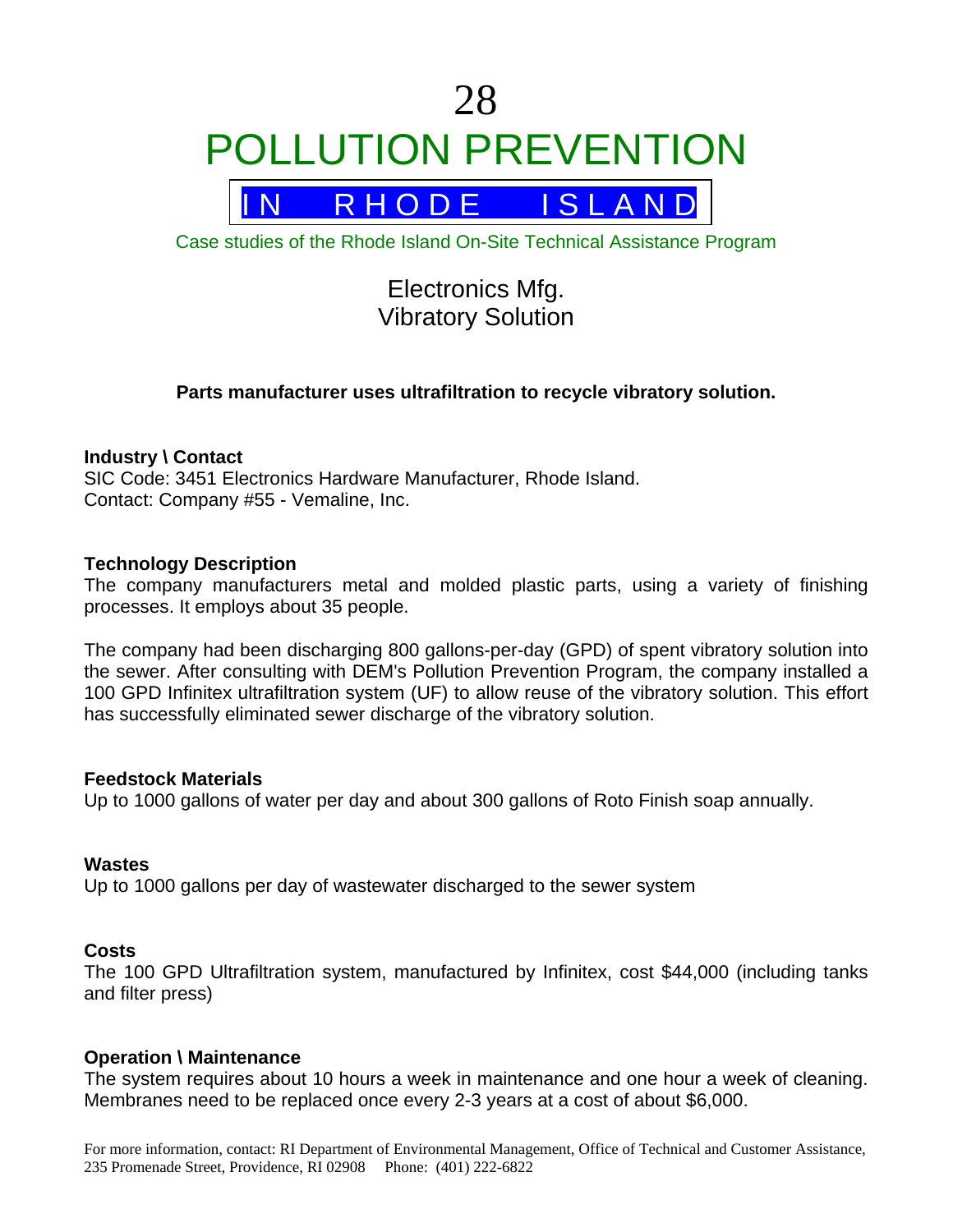# 28 POLLUTION PREVENTION



Case studies of the Rhode Island On-Site Technical Assistance Program

# Electronics Mfg. Vibratory Solution

# **Parts manufacturer uses ultrafiltration to recycle vibratory solution.**

### **Industry \ Contact**

SIC Code: 3451 Electronics Hardware Manufacturer, Rhode Island. Contact: Company #55 - Vemaline, Inc.

#### **Technology Description**

The company manufacturers metal and molded plastic parts, using a variety of finishing processes. It employs about 35 people.

The company had been discharging 800 gallons-per-day (GPD) of spent vibratory solution into the sewer. After consulting with DEM's Pollution Prevention Program, the company installed a 100 GPD Infinitex ultrafiltration system (UF) to allow reuse of the vibratory solution. This effort has successfully eliminated sewer discharge of the vibratory solution.

#### **Feedstock Materials**

Up to 1000 gallons of water per day and about 300 gallons of Roto Finish soap annually.

#### **Wastes**

Up to 1000 gallons per day of wastewater discharged to the sewer system

#### **Costs**

The 100 GPD Ultrafiltration system, manufactured by Infinitex, cost \$44,000 (including tanks and filter press)

#### **Operation \ Maintenance**

The system requires about 10 hours a week in maintenance and one hour a week of cleaning. Membranes need to be replaced once every 2-3 years at a cost of about \$6,000.

For more information, contact: RI Department of Environmental Management, Office of Technical and Customer Assistance, 235 Promenade Street, Providence, RI 02908 Phone: (401) 222-6822